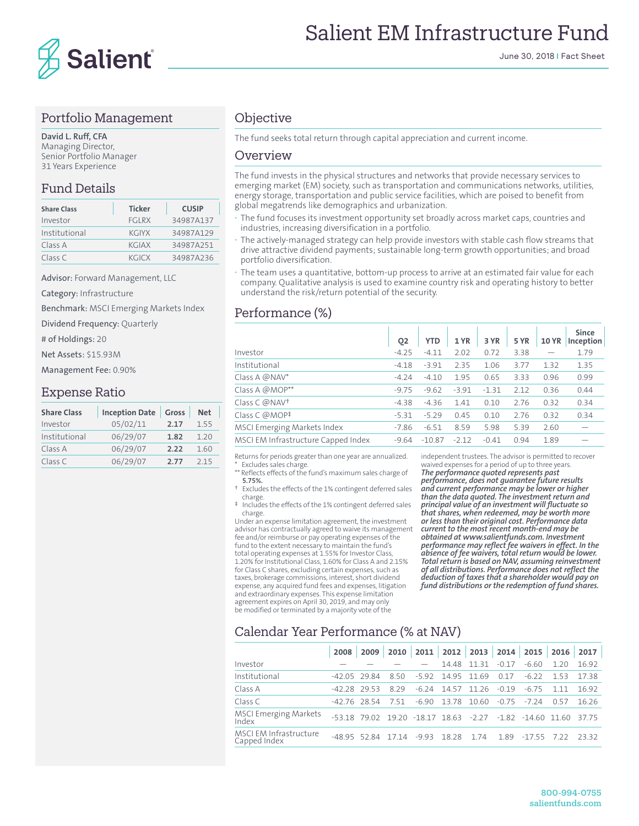

#### Portfolio Management

**David L. Ruff, CFA** Managing Director, Senior Portfolio Manager 31 Years Experience

#### Fund Details

| <b>Share Class</b> | <b>Ticker</b> | <b>CUSIP</b> |
|--------------------|---------------|--------------|
| Investor           | <b>FGIRX</b>  | 34987A137    |
| Institutional      | <b>KGIYX</b>  | 34987A129    |
| Class A            | KGIAX         | 34987A251    |
| Class C            | KGICX         | 34987A236    |

Advisor: Forward Management, LLC

Category: Infrastructure

Benchmark: MSCI Emerging Markets Index

Dividend Frequency: Quarterly

# of Holdings: 20

Net Assets: \$15.93M

Management Fee: 0.90%

#### Expense Ratio

| <b>Share Class</b> | <b>Inception Date</b> | Gross | <b>Net</b> |  |  |
|--------------------|-----------------------|-------|------------|--|--|
| Investor           | 05/02/11              | 2.17  | 1.55       |  |  |
| Institutional      | 06/29/07              | 1.82  | 1.20       |  |  |
| Class A            | 06/29/07              | 2.22  | 1.60       |  |  |
| Class C            | 06/29/07              | 2.77  | 215        |  |  |

#### **Objective**

The fund seeks total return through capital appreciation and current income.

#### Overview

The fund invests in the physical structures and networks that provide necessary services to emerging market (EM) society, such as transportation and communications networks, utilities, energy storage, transportation and public service facilities, which are poised to benefit from global megatrends like demographics and urbanization.

- **·** The fund focuses its investment opportunity set broadly across market caps, countries and industries, increasing diversification in a portfolio.
- **·** The actively-managed strategy can help provide investors with stable cash flow streams that drive attractive dividend payments; sustainable long-term growth opportunities; and broad portfolio diversification.
- **·** The team uses a quantitative, bottom-up process to arrive at an estimated fair value for each company. Qualitative analysis is used to examine country risk and operating history to better understand the risk/return potential of the security.

## Performance (%)

|                                     | O <sub>2</sub> | <b>YTD</b> | 1 YR    | 3 YR    | <b>5 YR</b> | <b>10 YR</b> | <b>Since</b><br>Inception |
|-------------------------------------|----------------|------------|---------|---------|-------------|--------------|---------------------------|
| Investor                            | $-4.25$        | $-4.11$    | 2.02    | 0.72    | 3.38        |              | 1.79                      |
| Institutional                       | $-4.18$        | $-3.91$    | 2.35    | 1.06    | 3.77        | 1.32         | 1.35                      |
| Class A @NAV*                       | $-4.24$        | $-4.10$    | 1.95    | 0.65    | 3.33        | 0.96         | 0.99                      |
| Class A @MOP**                      | $-9.75$        | $-9.62$    | $-3.91$ | $-1.31$ | 2.12        | 0.36         | 0.44                      |
| Class C @NAV <sup>+</sup>           | $-4.38$        | $-4.36$    | 1.41    | 0.10    | 2.76        | 0.32         | 0.34                      |
| Class C @MOP <sup>‡</sup>           | $-5.31$        | $-5.29$    | 0.45    | 0.10    | 2.76        | 0.32         | 0.34                      |
| MSCI Emerging Markets Index         | $-7.86$        | $-6.51$    | 8.59    | 5.98    | 5.39        | 2.60         |                           |
| MSCI EM Infrastructure Capped Index | $-9.64$        | $-10.87$   | $-2.12$ | $-0.41$ | 0.94        | 1.89         |                           |

Returns for periods greater than one year are annualized. Excludes sales charge.

Reflects effects of the fund's maximum sales charge of

- **5.75%.** † Excludes the effects of the 1% contingent deferred sales charge.
- ‡ Includes the effects of the 1% contingent deferred sales charge.

Under an expense limitation agreement, the investment advisor has contractually agreed to waive its management fee and/or reimburse or pay operating expenses of the fund to the extent necessary to maintain the fund's total operating expenses at 1.55% for Investor Class, 1.20% for Institutional Class, 1.60% for Class A and 2.15% for Class C shares, excluding certain expenses, such as taxes, brokerage commissions, interest, short dividend expense, any acquired fund fees and expenses, litigation and extraordinary expenses. This expense limitation agreement expires on April 30, 2019, and may only be modified or terminated by a majority vote of the

independent trustees. The advisor is permitted to recover waived expenses for a period of up to three years.

*The performance quoted represents past performance, does not guarantee future results and current performance may be lower or higher than the data quoted. The investment return and principal value of an investment will fluctuate so that shares, when redeemed, may be worth more or less than their original cost. Performance data current to the most recent month-end may be obtained at www.salientfunds.com. Investment performance may reflect fee waivers in effect. In the absence of fee waivers, total return would be lower. Total return is based on NAV, assuming reinvestment of all distributions. Performance does not reflect the deduction of taxes that a shareholder would pay on fund distributions or the redemption of fund shares.*

## Calendar Year Performance (% at NAV)

|                                        | 2008         | 2009         |                   |         |             |       |         | 2010   2011   2012   2013   2014   2015 | 2016  | 2017  |
|----------------------------------------|--------------|--------------|-------------------|---------|-------------|-------|---------|-----------------------------------------|-------|-------|
| Investor                               |              |              |                   |         | 14.48       | 11 31 | $-0.17$ | $-6.60$                                 | 120   | 16.92 |
| Institutional                          | $-4205$ 2984 |              | 850               | $-5.92$ | 14.95       | 11.69 | 0.17    | $-6.22$                                 | 153   | 1738  |
| Class A                                | $-4228$ 2953 |              | 829               | $-6.24$ | 14.57       | 11 26 | $-0.19$ | $-6.75$                                 | 111   | 1692  |
| Class C                                | $-4276$ 2854 |              | 751               | $-6.90$ | 13.78 10.60 |       |         | $-0.75 - 7.24$                          | 0.57  | 16 26 |
| <b>MSCI Emerging Markets</b><br>Index  |              | $-5318$ 7902 |                   |         |             |       |         | 19.20 -18.17 18.63 -2.27 -1.82 -14.60   | 11.60 | 3775  |
| MSCI EM Infrastructure<br>Capped Index |              |              | $-4895$ 5284 1714 | $-9.93$ | 18.28       | 1.74  | 189     | $-1755$                                 | -7.22 | 2332  |